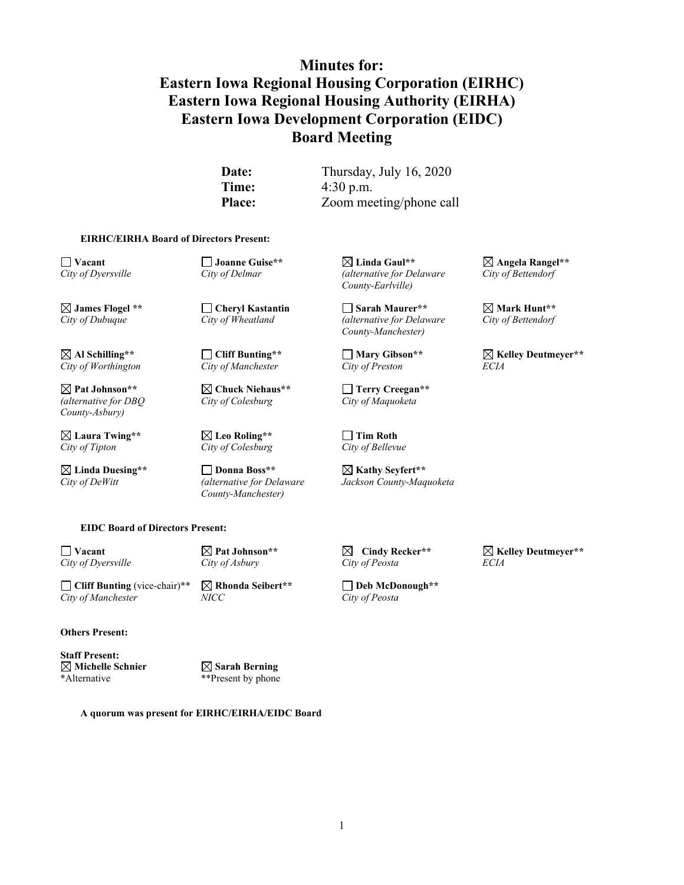# **Minutes for: Eastern Iowa Regional Housing Corporation (EIRHC) Eastern Iowa Regional Housing Authority (EIRHA) Eastern Iowa Development Corporation (EIDC) Board Meeting**

**Date:** Thursday, July 16, 2020 **Time:** 4:30 p.m. **Place:** Zoom meeting/phone call

#### **EIRHC/EIRHA Board of Directors Present:**

 $City of Worthington$ 

*(alternative for DBQ City of Colesburg City of Maquoketa County-Asbury)*

**Laura Twing\*\* Leo Roling\*\* Tim Roth** *City of Tipton City of Colesburg City of Bellevue*

**Linda Duesing\*\* Donna Boss\*\* Kathy Seyfert\*\*** *County-Manchester)*

**Vacant Joanne Guise\*\* Linda Gaul\*\* Angela Rangel\*\*** *City of Dyersville City of Delmar (alternative for Delaware City of Bettendorf County-Earlville)*

 $\Box$  **James Flogel \*\***  $\Box$  Cheryl Kastantin  $\Box$  Sarah Maurer\*\*  $\Box$  Mark Hunt\*\* <br>
City of Dubuque City of Wheatland (alternative for Delaware City of Bettendorf *City of Dubuque City of Wheatland (alternative for Delaware City of Bettendorf County-Manchester)*

**Pat Johnson\*\* Chuck Niehaus\*\* Terry Creegan\*\***

*City of DeWitt (alternative for Delaware Jackson County-Maquoketa*

**Vacant Pat Johnson\*\* Cindy Recker\*\* Kelley Deutmeyer\*\*** *City of Dyersville City of Asbury City of Peosta ECIA*

 $\boxtimes$  Al Schilling\*\*  $\Box$  Cliff Bunting\*\*  $\Box$  Mary Gibson<sup>\*\*</sup>  $\Box$  Kelley Deutmeyer<sup>\*\*</sup><br>City of Worthington City of Manchester City of Preston *ECIA* 

**EIDC Board of Directors Present:**

**Cliff Bunting** (vice-chair)\*\* **Rhonda Seibert\*\* Deb McDonough\*\***<br>City of Manchester MICC **City of Peosta**  $City of Manchester$ 

**Others Present:**

**Staff Present: Michelle Schnier Sarah Berning** \*Alternative \*\*Present by phone

**A quorum was present for EIRHC/EIRHA/EIDC Board**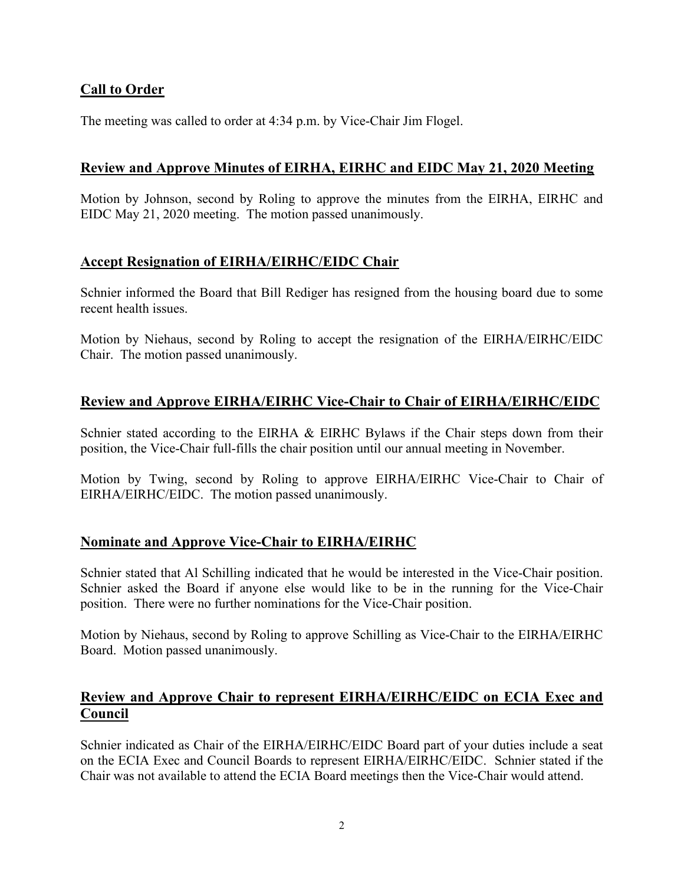# **Call to Order**

The meeting was called to order at 4:34 p.m. by Vice-Chair Jim Flogel.

## **Review and Approve Minutes of EIRHA, EIRHC and EIDC May 21, 2020 Meeting**

Motion by Johnson, second by Roling to approve the minutes from the EIRHA, EIRHC and EIDC May 21, 2020 meeting. The motion passed unanimously.

## **Accept Resignation of EIRHA/EIRHC/EIDC Chair**

Schnier informed the Board that Bill Rediger has resigned from the housing board due to some recent health issues.

Motion by Niehaus, second by Roling to accept the resignation of the EIRHA/EIRHC/EIDC Chair. The motion passed unanimously.

# **Review and Approve EIRHA/EIRHC Vice-Chair to Chair of EIRHA/EIRHC/EIDC**

Schnier stated according to the EIRHA & EIRHC Bylaws if the Chair steps down from their position, the Vice-Chair full-fills the chair position until our annual meeting in November.

Motion by Twing, second by Roling to approve EIRHA/EIRHC Vice-Chair to Chair of EIRHA/EIRHC/EIDC. The motion passed unanimously.

#### **Nominate and Approve Vice-Chair to EIRHA/EIRHC**

Schnier stated that Al Schilling indicated that he would be interested in the Vice-Chair position. Schnier asked the Board if anyone else would like to be in the running for the Vice-Chair position. There were no further nominations for the Vice-Chair position.

Motion by Niehaus, second by Roling to approve Schilling as Vice-Chair to the EIRHA/EIRHC Board. Motion passed unanimously.

## **Review and Approve Chair to represent EIRHA/EIRHC/EIDC on ECIA Exec and Council**

Schnier indicated as Chair of the EIRHA/EIRHC/EIDC Board part of your duties include a seat on the ECIA Exec and Council Boards to represent EIRHA/EIRHC/EIDC. Schnier stated if the Chair was not available to attend the ECIA Board meetings then the Vice-Chair would attend.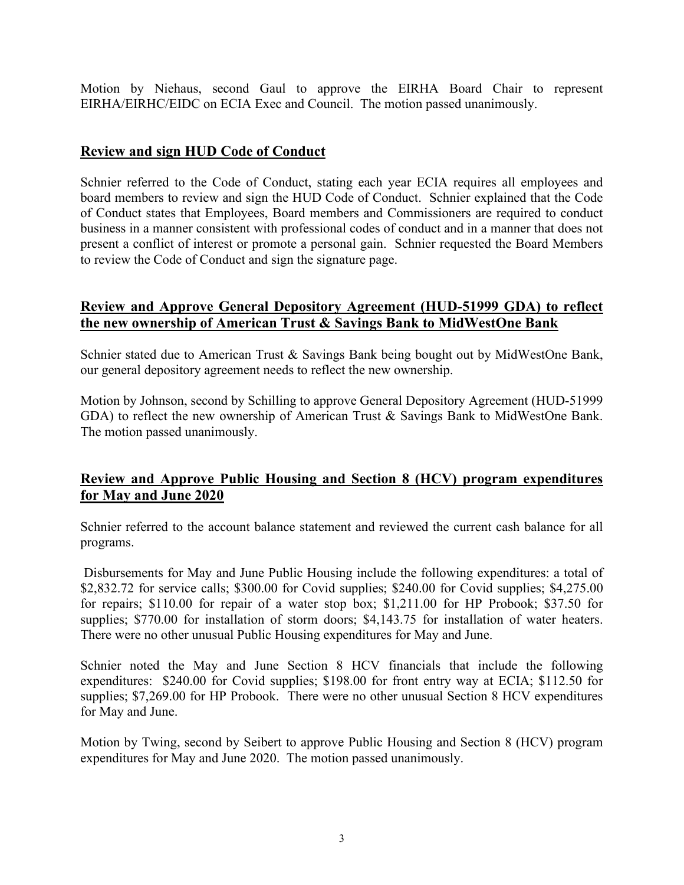Motion by Niehaus, second Gaul to approve the EIRHA Board Chair to represent EIRHA/EIRHC/EIDC on ECIA Exec and Council. The motion passed unanimously.

# **Review and sign HUD Code of Conduct**

Schnier referred to the Code of Conduct, stating each year ECIA requires all employees and board members to review and sign the HUD Code of Conduct. Schnier explained that the Code of Conduct states that Employees, Board members and Commissioners are required to conduct business in a manner consistent with professional codes of conduct and in a manner that does not present a conflict of interest or promote a personal gain. Schnier requested the Board Members to review the Code of Conduct and sign the signature page.

## **Review and Approve General Depository Agreement (HUD-51999 GDA) to reflect the new ownership of American Trust & Savings Bank to MidWestOne Bank**

Schnier stated due to American Trust & Savings Bank being bought out by MidWestOne Bank, our general depository agreement needs to reflect the new ownership.

Motion by Johnson, second by Schilling to approve General Depository Agreement (HUD-51999 GDA) to reflect the new ownership of American Trust & Savings Bank to MidWestOne Bank. The motion passed unanimously.

# **Review and Approve Public Housing and Section 8 (HCV) program expenditures for May and June 2020**

Schnier referred to the account balance statement and reviewed the current cash balance for all programs.

Disbursements for May and June Public Housing include the following expenditures: a total of \$2,832.72 for service calls; \$300.00 for Covid supplies; \$240.00 for Covid supplies; \$4,275.00 for repairs; \$110.00 for repair of a water stop box; \$1,211.00 for HP Probook; \$37.50 for supplies; \$770.00 for installation of storm doors; \$4,143.75 for installation of water heaters. There were no other unusual Public Housing expenditures for May and June.

Schnier noted the May and June Section 8 HCV financials that include the following expenditures: \$240.00 for Covid supplies; \$198.00 for front entry way at ECIA; \$112.50 for supplies; \$7,269.00 for HP Probook. There were no other unusual Section 8 HCV expenditures for May and June.

Motion by Twing, second by Seibert to approve Public Housing and Section 8 (HCV) program expenditures for May and June 2020. The motion passed unanimously.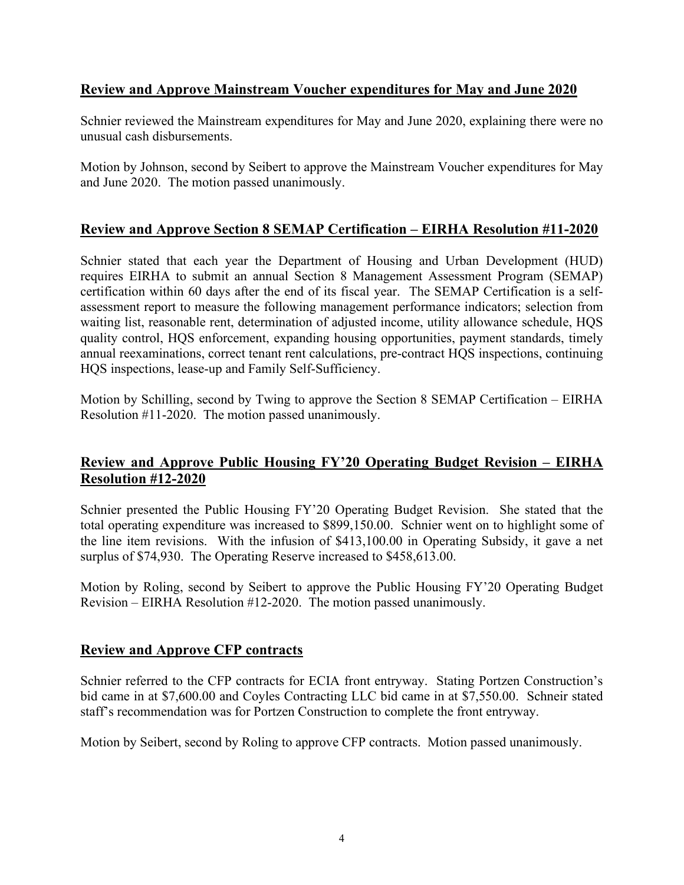# **Review and Approve Mainstream Voucher expenditures for May and June 2020**

Schnier reviewed the Mainstream expenditures for May and June 2020, explaining there were no unusual cash disbursements.

Motion by Johnson, second by Seibert to approve the Mainstream Voucher expenditures for May and June 2020. The motion passed unanimously.

# **Review and Approve Section 8 SEMAP Certification – EIRHA Resolution #11-2020**

Schnier stated that each year the Department of Housing and Urban Development (HUD) requires EIRHA to submit an annual Section 8 Management Assessment Program (SEMAP) certification within 60 days after the end of its fiscal year. The SEMAP Certification is a selfassessment report to measure the following management performance indicators; selection from waiting list, reasonable rent, determination of adjusted income, utility allowance schedule, HQS quality control, HQS enforcement, expanding housing opportunities, payment standards, timely annual reexaminations, correct tenant rent calculations, pre-contract HQS inspections, continuing HQS inspections, lease-up and Family Self-Sufficiency.

Motion by Schilling, second by Twing to approve the Section 8 SEMAP Certification – EIRHA Resolution #11-2020. The motion passed unanimously.

# **Review and Approve Public Housing FY'20 Operating Budget Revision – EIRHA Resolution #12-2020**

Schnier presented the Public Housing FY'20 Operating Budget Revision. She stated that the total operating expenditure was increased to \$899,150.00. Schnier went on to highlight some of the line item revisions. With the infusion of \$413,100.00 in Operating Subsidy, it gave a net surplus of \$74,930. The Operating Reserve increased to \$458,613.00.

Motion by Roling, second by Seibert to approve the Public Housing FY'20 Operating Budget Revision – EIRHA Resolution #12-2020. The motion passed unanimously.

# **Review and Approve CFP contracts**

Schnier referred to the CFP contracts for ECIA front entryway. Stating Portzen Construction's bid came in at \$7,600.00 and Coyles Contracting LLC bid came in at \$7,550.00. Schneir stated staff's recommendation was for Portzen Construction to complete the front entryway.

Motion by Seibert, second by Roling to approve CFP contracts. Motion passed unanimously.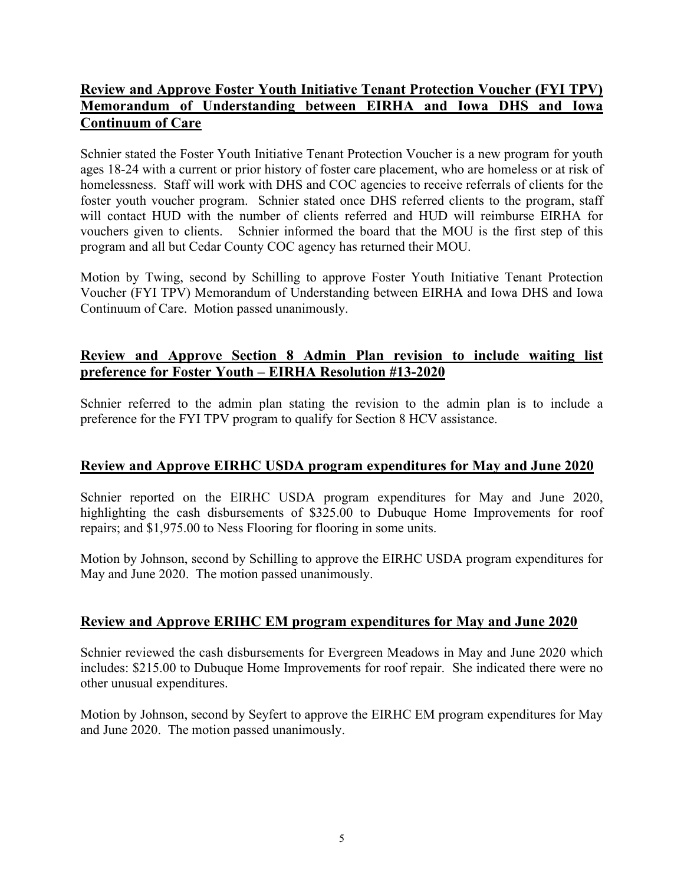# **Review and Approve Foster Youth Initiative Tenant Protection Voucher (FYI TPV) Memorandum of Understanding between EIRHA and Iowa DHS and Iowa Continuum of Care**

Schnier stated the Foster Youth Initiative Tenant Protection Voucher is a new program for youth ages 18-24 with a current or prior history of foster care placement, who are homeless or at risk of homelessness. Staff will work with DHS and COC agencies to receive referrals of clients for the foster youth voucher program. Schnier stated once DHS referred clients to the program, staff will contact HUD with the number of clients referred and HUD will reimburse EIRHA for vouchers given to clients. Schnier informed the board that the MOU is the first step of this program and all but Cedar County COC agency has returned their MOU.

Motion by Twing, second by Schilling to approve Foster Youth Initiative Tenant Protection Voucher (FYI TPV) Memorandum of Understanding between EIRHA and Iowa DHS and Iowa Continuum of Care. Motion passed unanimously.

# **Review and Approve Section 8 Admin Plan revision to include waiting list preference for Foster Youth – EIRHA Resolution #13-2020**

Schnier referred to the admin plan stating the revision to the admin plan is to include a preference for the FYI TPV program to qualify for Section 8 HCV assistance.

# **Review and Approve EIRHC USDA program expenditures for May and June 2020**

Schnier reported on the EIRHC USDA program expenditures for May and June 2020, highlighting the cash disbursements of \$325.00 to Dubuque Home Improvements for roof repairs; and \$1,975.00 to Ness Flooring for flooring in some units.

Motion by Johnson, second by Schilling to approve the EIRHC USDA program expenditures for May and June 2020. The motion passed unanimously.

# **Review and Approve ERIHC EM program expenditures for May and June 2020**

Schnier reviewed the cash disbursements for Evergreen Meadows in May and June 2020 which includes: \$215.00 to Dubuque Home Improvements for roof repair. She indicated there were no other unusual expenditures.

Motion by Johnson, second by Seyfert to approve the EIRHC EM program expenditures for May and June 2020. The motion passed unanimously.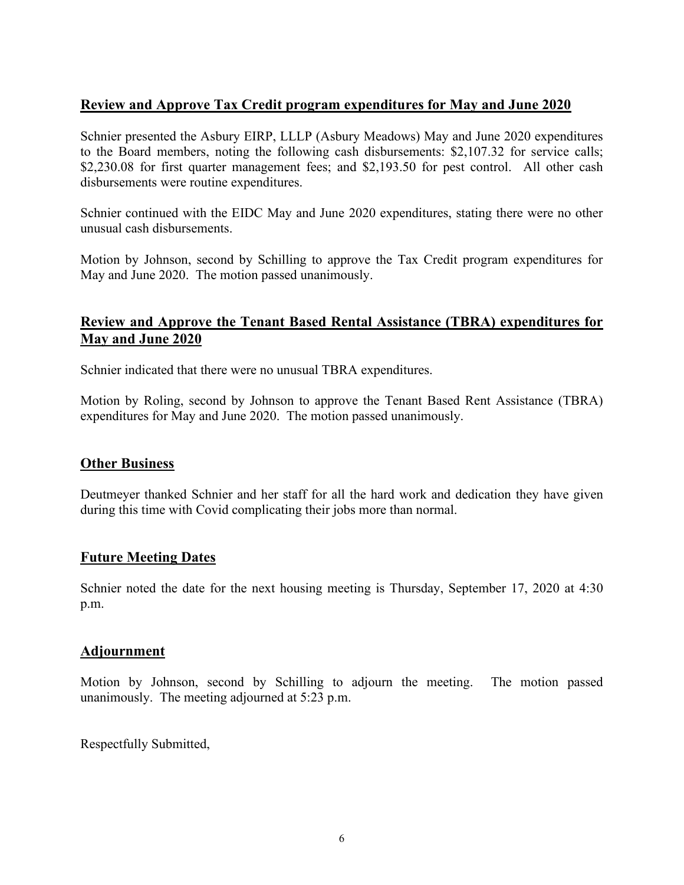# **Review and Approve Tax Credit program expenditures for May and June 2020**

Schnier presented the Asbury EIRP, LLLP (Asbury Meadows) May and June 2020 expenditures to the Board members, noting the following cash disbursements: \$2,107.32 for service calls; \$2,230.08 for first quarter management fees; and \$2,193.50 for pest control. All other cash disbursements were routine expenditures.

Schnier continued with the EIDC May and June 2020 expenditures, stating there were no other unusual cash disbursements.

Motion by Johnson, second by Schilling to approve the Tax Credit program expenditures for May and June 2020. The motion passed unanimously.

## **Review and Approve the Tenant Based Rental Assistance (TBRA) expenditures for May and June 2020**

Schnier indicated that there were no unusual TBRA expenditures.

Motion by Roling, second by Johnson to approve the Tenant Based Rent Assistance (TBRA) expenditures for May and June 2020. The motion passed unanimously.

#### **Other Business**

Deutmeyer thanked Schnier and her staff for all the hard work and dedication they have given during this time with Covid complicating their jobs more than normal.

#### **Future Meeting Dates**

Schnier noted the date for the next housing meeting is Thursday, September 17, 2020 at 4:30 p.m.

#### **Adjournment**

Motion by Johnson, second by Schilling to adjourn the meeting. The motion passed unanimously. The meeting adjourned at 5:23 p.m.

Respectfully Submitted,